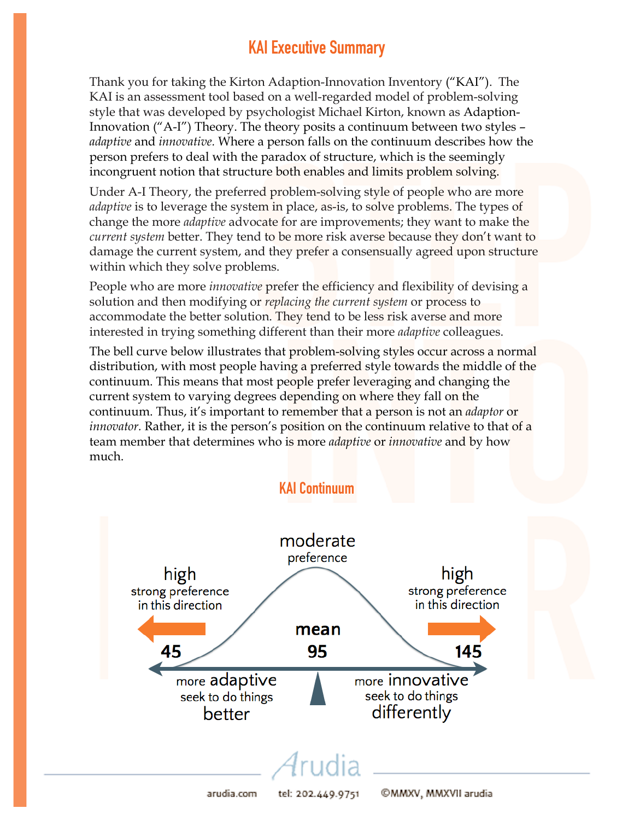## KAI Executive Summary

Thank you for taking the Kirton Adaption-Innovation Inventory ("KAI"). The KAI is an assessment tool based on a well-regarded model of problem-solving style that was developed by psychologist Michael Kirton, known as Adaption-Innovation ("A-I") Theory. The theory posits a continuum between two styles – *adaptive* and *innovative.* Where a person falls on the continuum describes how the person prefers to deal with the paradox of structure, which is the seemingly incongruent notion that structure both enables and limits problem solving.

Under A-I Theory, the preferred problem-solving style of people who are more *adaptive* is to leverage the system in place, as-is, to solve problems. The types of change the more *adaptive* advocate for are improvements; they want to make the *current system* better. They tend to be more risk averse because they don't want to damage the current system, and they prefer a consensually agreed upon structure within which they solve problems.

People who are more *innovative* prefer the efficiency and flexibility of devising a solution and then modifying or *replacing the current system* or process to accommodate the better solution. They tend to be less risk averse and more interested in trying something different than their more *adaptive* colleagues.

The bell curve below illustrates that problem-solving styles occur across a normal distribution, with most people having a preferred style towards the middle of the continuum. This means that most people prefer leveraging and changing the current system to varying degrees depending on where they fall on the continuum. Thus, it's important to remember that a person is not an *adaptor* or *innovator.* Rather, it is the person's position on the continuum relative to that of a team member that determines who is more *adaptive* or *innovative* and by how much.